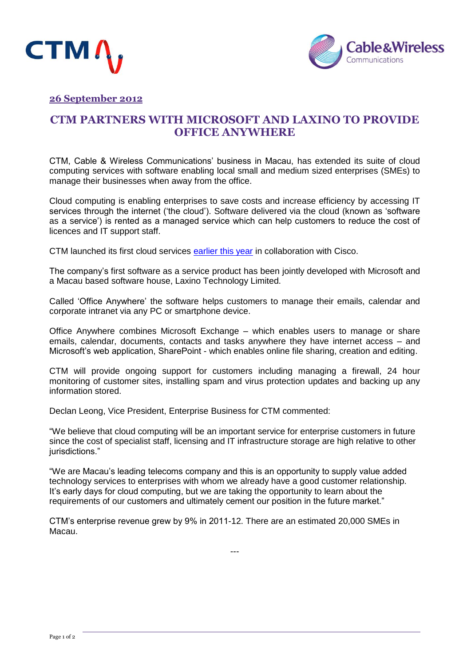



# **26 September 2012**

# **CTM PARTNERS WITH MICROSOFT AND LAXINO TO PROVIDE OFFICE ANYWHERE**

CTM, Cable & Wireless Communications' business in Macau, has extended its suite of cloud computing services with software enabling local small and medium sized enterprises (SMEs) to manage their businesses when away from the office.

Cloud computing is enabling enterprises to save costs and increase efficiency by accessing IT services through the internet ('the cloud'). Software delivered via the cloud (known as 'software as a service') is rented as a managed service which can help customers to reduce the cost of licences and IT support staff.

CTM launched its first cloud services [earlier this year](http://www.cwc.com/assets/uploads/files/Press%20Releases/2012/Macau%20cloud%20services%20launch%20final%2015612.pdf) in collaboration with Cisco.

The company's first software as a service product has been jointly developed with Microsoft and a Macau based software house, Laxino Technology Limited.

Called 'Office Anywhere' the software helps customers to manage their emails, calendar and corporate intranet via any PC or smartphone device.

Office Anywhere combines Microsoft Exchange – which enables users to manage or share emails, calendar, documents, contacts and tasks anywhere they have internet access – and Microsoft's web application, SharePoint - which enables online file sharing, creation and editing.

CTM will provide ongoing support for customers including managing a firewall, 24 hour monitoring of customer sites, installing spam and virus protection updates and backing up any information stored.

Declan Leong, Vice President, Enterprise Business for CTM commented:

"We believe that cloud computing will be an important service for enterprise customers in future since the cost of specialist staff, licensing and IT infrastructure storage are high relative to other iurisdictions."

"We are Macau's leading telecoms company and this is an opportunity to supply value added technology services to enterprises with whom we already have a good customer relationship. It's early days for cloud computing, but we are taking the opportunity to learn about the requirements of our customers and ultimately cement our position in the future market."

CTM's enterprise revenue grew by 9% in 2011-12. There are an estimated 20,000 SMEs in Macau.

---